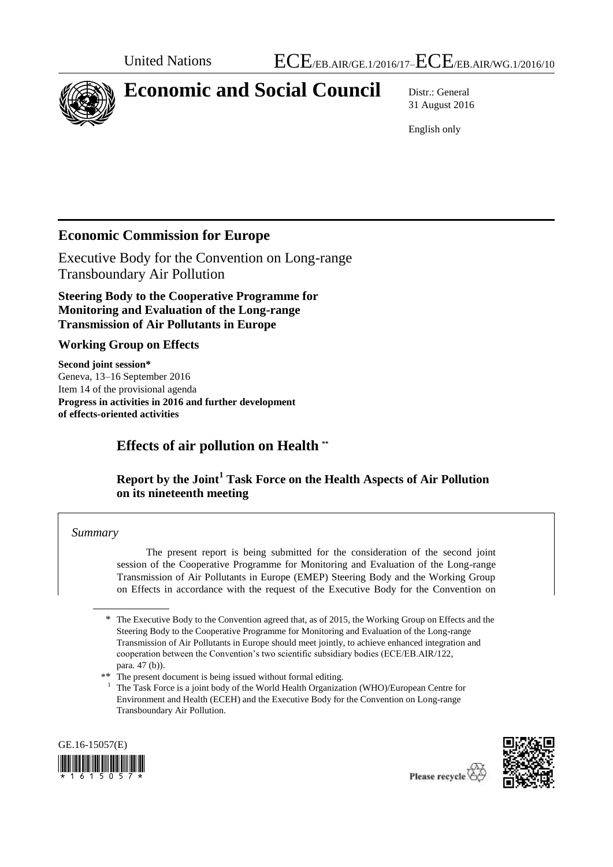

# **Economic and Social Council** Distr.: General

31 August 2016

English only

## **Economic Commission for Europe**

Executive Body for the Convention on Long-range Transboundary Air Pollution

**Steering Body to the Cooperative Programme for Monitoring and Evaluation of the Long-range Transmission of Air Pollutants in Europe** 

#### **Working Group on Effects**

**Second joint session\*** Geneva, 13–16 September 2016 Item 14 of the provisional agenda **Progress in activities in 2016 and further development of effects-oriented activities**

## **Effects of air pollution on Health \*\***

#### **Report by the Joint<sup>1</sup> Task Force on the Health Aspects of Air Pollution on its nineteenth meeting**

#### *Summary*

The present report is being submitted for the consideration of the second joint session of the Cooperative Programme for Monitoring and Evaluation of the Long-range Transmission of Air Pollutants in Europe (EMEP) Steering Body and the Working Group on Effects in accordance with the request of the Executive Body for the Convention on

<sup>1</sup> The Task Force is a joint body of the World Health Organization (WHO)/European Centre for Environment and Health (ECEH) and the Executive Body for the Convention on Long-range Transboundary Air Pollution.





<sup>\*</sup> The Executive Body to the Convention agreed that, as of 2015, the Working Group on Effects and the Steering Body to the Cooperative Programme for Monitoring and Evaluation of the Long-range Transmission of Air Pollutants in Europe should meet jointly, to achieve enhanced integration and cooperation between the Convention's two scientific subsidiary bodies (ECE/EB.AIR/122, para. 47 (b)).

<sup>\*\*</sup> The present document is being issued without formal editing.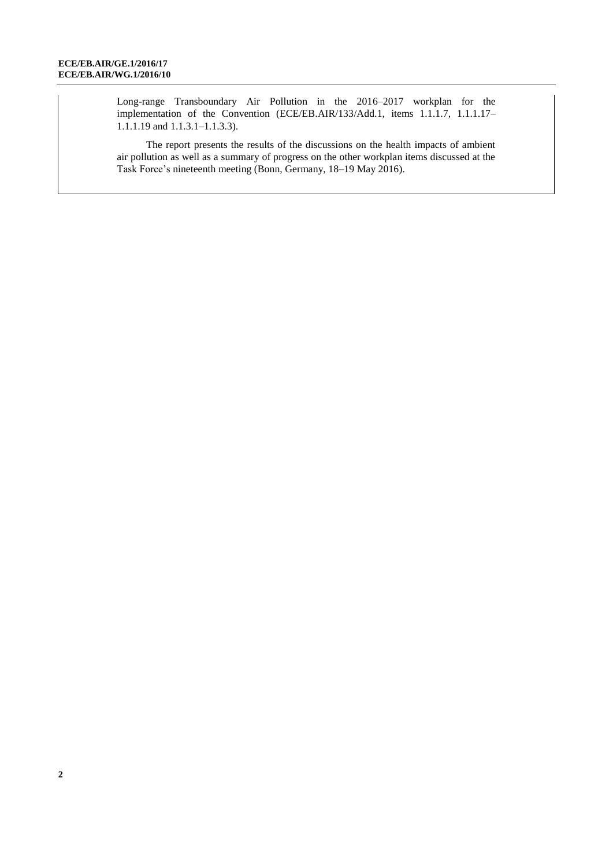Long-range Transboundary Air Pollution in the 2016–2017 workplan for the implementation of the Convention (ECE/EB.AIR/133/Add.1, items 1.1.1.7, 1.1.1.17– 1.1.1.19 and 1.1.3.1–1.1.3.3).

The report presents the results of the discussions on the health impacts of ambient air pollution as well as a summary of progress on the other workplan items discussed at the Task Force's nineteenth meeting (Bonn, Germany, 18–19 May 2016).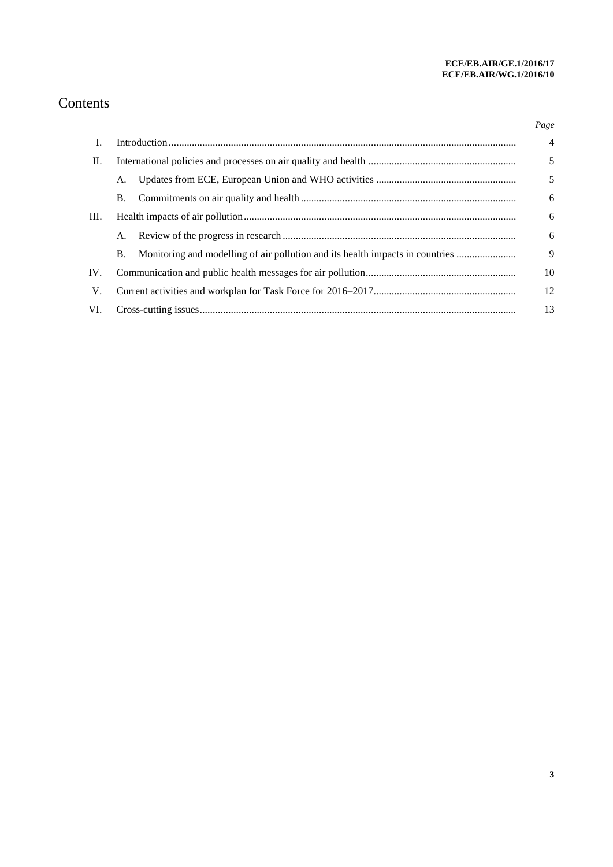## Contents

|     |           |                                                                               | Page           |
|-----|-----------|-------------------------------------------------------------------------------|----------------|
| I.  |           |                                                                               | $\overline{4}$ |
| П.  |           |                                                                               | 5              |
|     | A.        |                                                                               | 5              |
|     | <b>B.</b> |                                                                               | 6              |
| Ш.  |           |                                                                               | 6              |
|     |           |                                                                               | 6              |
|     | В.        | Monitoring and modelling of air pollution and its health impacts in countries | 9              |
| IV. |           |                                                                               | 10             |
| V.  |           |                                                                               | 12             |
| VI. |           |                                                                               | 13             |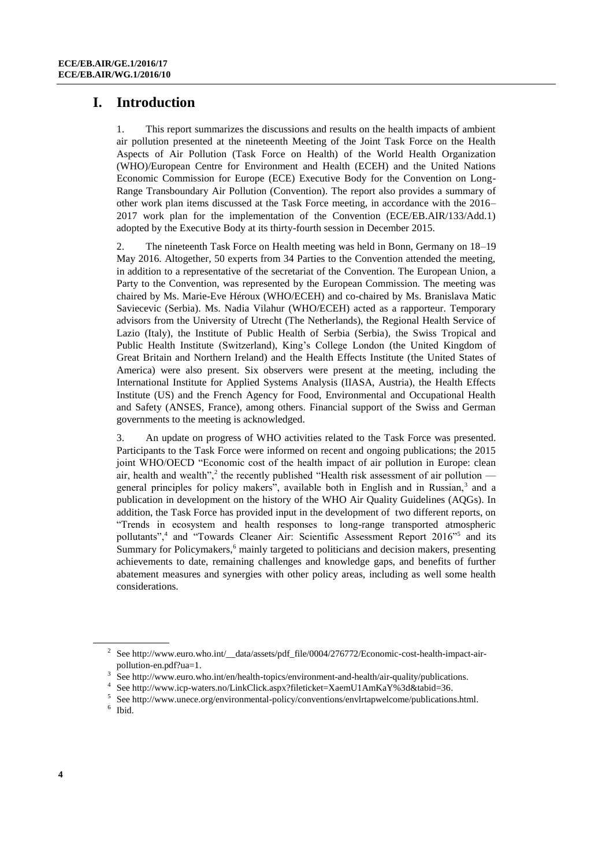## **I. Introduction**

1. This report summarizes the discussions and results on the health impacts of ambient air pollution presented at the nineteenth Meeting of the Joint Task Force on the Health Aspects of Air Pollution (Task Force on Health) of the World Health Organization (WHO)/European Centre for Environment and Health (ECEH) and the United Nations Economic Commission for Europe (ECE) Executive Body for the Convention on Long-Range Transboundary Air Pollution (Convention). The report also provides a summary of other work plan items discussed at the Task Force meeting, in accordance with the 2016– 2017 work plan for the implementation of the Convention (ECE/EB.AIR/133/Add.1) adopted by the Executive Body at its thirty-fourth session in December 2015.

2. The nineteenth Task Force on Health meeting was held in Bonn, Germany on 18–19 May 2016. Altogether, 50 experts from 34 Parties to the Convention attended the meeting, in addition to a representative of the secretariat of the Convention. The European Union, a Party to the Convention, was represented by the European Commission. The meeting was chaired by Ms. Marie-Eve Héroux (WHO/ECEH) and co-chaired by Ms. Branislava Matic Saviecevic (Serbia). Ms. Nadia Vilahur (WHO/ECEH) acted as a rapporteur. Temporary advisors from the University of Utrecht (The Netherlands), the Regional Health Service of Lazio (Italy), the Institute of Public Health of Serbia (Serbia), the Swiss Tropical and Public Health Institute (Switzerland), King's College London (the United Kingdom of Great Britain and Northern Ireland) and the Health Effects Institute (the United States of America) were also present. Six observers were present at the meeting, including the International Institute for Applied Systems Analysis (IIASA, Austria), the Health Effects Institute (US) and the French Agency for Food, Environmental and Occupational Health and Safety (ANSES, France), among others. Financial support of the Swiss and German governments to the meeting is acknowledged.

3. An update on progress of WHO activities related to the Task Force was presented. Participants to the Task Force were informed on recent and ongoing publications; the 2015 joint WHO/OECD "Economic cost of the health impact of air pollution in Europe: clean air, health and wealth",<sup>2</sup> the recently published "Health risk assessment of air pollution  $$ general principles for policy makers", available both in English and in Russian,<sup>3</sup> and a publication in development on the history of the WHO Air Quality Guidelines (AQGs). In addition, the Task Force has provided input in the development of two different reports, on "Trends in ecosystem and health responses to long-range transported atmospheric pollutants",<sup>4</sup> and "Towards Cleaner Air: Scientific Assessment Report 2016"<sup>5</sup> and its Summary for Policymakers,<sup>6</sup> mainly targeted to politicians and decision makers, presenting achievements to date, remaining challenges and knowledge gaps, and benefits of further abatement measures and synergies with other policy areas, including as well some health considerations.

<sup>&</sup>lt;sup>2</sup> See http://www.euro.who.int/\_data/assets/pdf\_file/0004/276772/Economic-cost-health-impact-air[pollution-en.pdf?ua=1.](http://www.euro.who.int/__data/assets/pdf_file/0004/276772/Economic-cost-health-impact-air-pollution-en.pdf?ua=1) 

<sup>3</sup> Se[e http://www.euro.who.int/en/health-topics/environment-and-health/air-quality/publications.](http://www.euro.who.int/en/health-topics/environment-and-health/air-quality/publications)

<sup>4</sup> Se[e http://www.icp-waters.no/LinkClick.aspx?fileticket=XaemU1AmKaY%3d&tabid=36.](http://www.icp-waters.no/LinkClick.aspx?fileticket=XaemU1AmKaY%3d&tabid=36)

<sup>5</sup> See [http://www.unece.org/environmental-policy/conventions/envlrtapwelcome/publications.html.](http://www.unece.org/environmental-policy/conventions/envlrtapwelcome/publications.html)

<sup>6</sup> Ibid.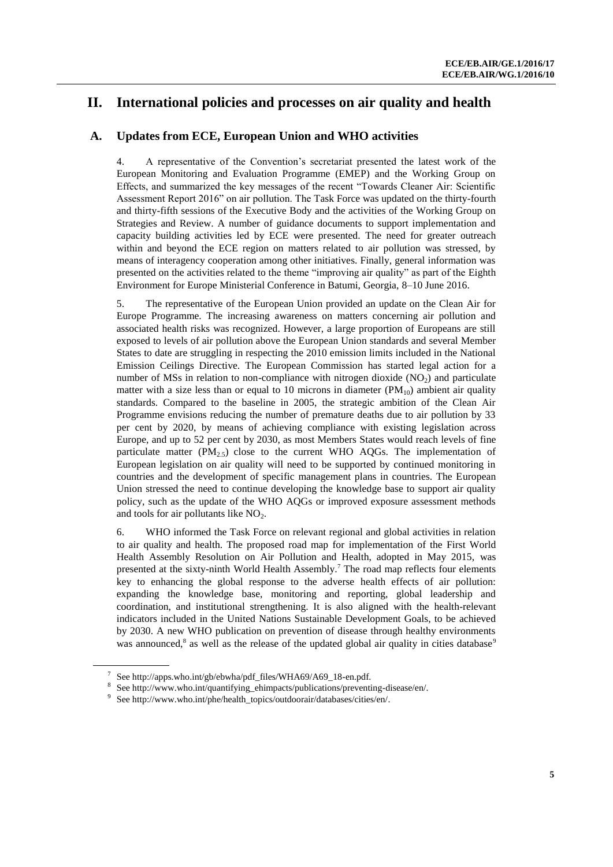## **II. International policies and processes on air quality and health**

#### **A. Updates from ECE, European Union and WHO activities**

4. A representative of the Convention's secretariat presented the latest work of the European Monitoring and Evaluation Programme (EMEP) and the Working Group on Effects, and summarized the key messages of the recent "Towards Cleaner Air: Scientific Assessment Report 2016" on air pollution. The Task Force was updated on the thirty-fourth and thirty-fifth sessions of the Executive Body and the activities of the Working Group on Strategies and Review. A number of guidance documents to support implementation and capacity building activities led by ECE were presented. The need for greater outreach within and beyond the ECE region on matters related to air pollution was stressed, by means of interagency cooperation among other initiatives. Finally, general information was presented on the activities related to the theme "improving air quality" as part of the Eighth Environment for Europe Ministerial Conference in Batumi, Georgia, 8–10 June 2016.

5. The representative of the European Union provided an update on the Clean Air for Europe Programme. The increasing awareness on matters concerning air pollution and associated health risks was recognized. However, a large proportion of Europeans are still exposed to levels of air pollution above the European Union standards and several Member States to date are struggling in respecting the 2010 emission limits included in the National Emission Ceilings Directive. The European Commission has started legal action for a number of MSs in relation to non-compliance with nitrogen dioxide  $(NO<sub>2</sub>)$  and particulate matter with a size less than or equal to 10 microns in diameter  $(PM_{10})$  ambient air quality standards. Compared to the baseline in 2005, the strategic ambition of the Clean Air Programme envisions reducing the number of premature deaths due to air pollution by 33 per cent by 2020, by means of achieving compliance with existing legislation across Europe, and up to 52 per cent by 2030, as most Members States would reach levels of fine particulate matter  $(PM_{2.5})$  close to the current WHO AQGs. The implementation of European legislation on air quality will need to be supported by continued monitoring in countries and the development of specific management plans in countries. The European Union stressed the need to continue developing the knowledge base to support air quality policy, such as the update of the WHO AQGs or improved exposure assessment methods and tools for air pollutants like  $NO<sub>2</sub>$ .

6. WHO informed the Task Force on relevant regional and global activities in relation to air quality and health. The proposed road map for implementation of the First World Health Assembly Resolution on Air Pollution and Health, adopted in May 2015, was presented at the sixty-ninth World Health Assembly. <sup>7</sup> The road map reflects four elements key to enhancing the global response to the adverse health effects of air pollution: expanding the knowledge base, monitoring and reporting, global leadership and coordination, and institutional strengthening. It is also aligned with the health-relevant indicators included in the United Nations Sustainable Development Goals, to be achieved by 2030. A new WHO publication on prevention of disease through healthy environments was announced,<sup>8</sup> as well as the release of the updated global air quality in cities database<sup>9</sup>

<sup>7</sup> Se[e http://apps.who.int/gb/ebwha/pdf\\_files/WHA69/A69\\_18-en.pdf.](http://apps.who.int/gb/ebwha/pdf_files/WHA69/A69_18-en.pdf) 

<sup>8</sup> Se[e http://www.who.int/quantifying\\_ehimpacts/publications/preventing-disease/en/.](http://www.who.int/quantifying_ehimpacts/publications/preventing-disease/en/)

<sup>9</sup> See [http://www.who.int/phe/health\\_topics/outdoorair/databases/cities/en/.](http://www.who.int/phe/health_topics/outdoorair/databases/cities/en/)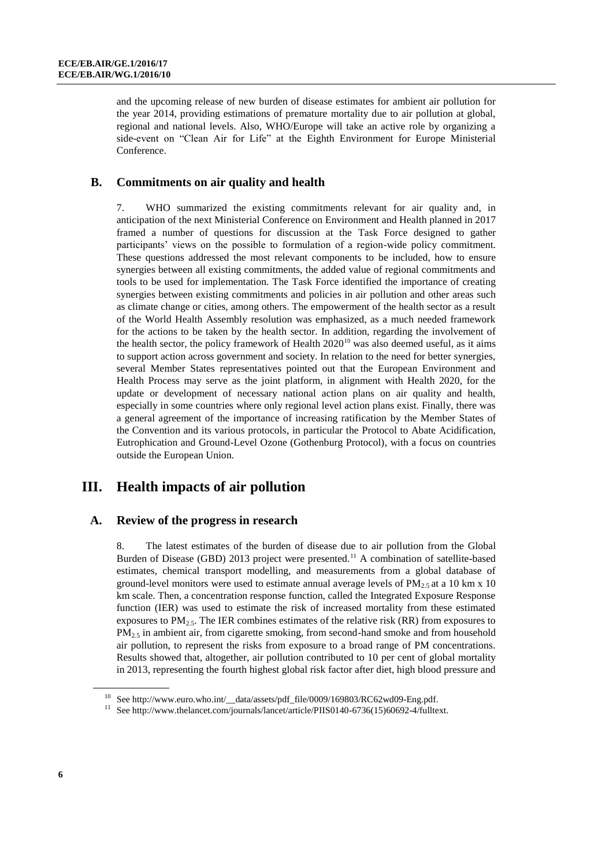and the upcoming release of new burden of disease estimates for ambient air pollution for the year 2014, providing estimations of premature mortality due to air pollution at global, regional and national levels. Also, WHO/Europe will take an active role by organizing a side-event on "Clean Air for Life" at the Eighth Environment for Europe Ministerial Conference.

#### **B. Commitments on air quality and health**

7. WHO summarized the existing commitments relevant for air quality and, in anticipation of the next Ministerial Conference on Environment and Health planned in 2017 framed a number of questions for discussion at the Task Force designed to gather participants' views on the possible to formulation of a region-wide policy commitment. These questions addressed the most relevant components to be included, how to ensure synergies between all existing commitments, the added value of regional commitments and tools to be used for implementation. The Task Force identified the importance of creating synergies between existing commitments and policies in air pollution and other areas such as climate change or cities, among others. The empowerment of the health sector as a result of the World Health Assembly resolution was emphasized, as a much needed framework for the actions to be taken by the health sector. In addition, regarding the involvement of the health sector, the policy framework of Health  $2020^{10}$  was also deemed useful, as it aims to support action across government and society. In relation to the need for better synergies, several Member States representatives pointed out that the European Environment and Health Process may serve as the joint platform, in alignment with Health 2020, for the update or development of necessary national action plans on air quality and health, especially in some countries where only regional level action plans exist. Finally, there was a general agreement of the importance of increasing ratification by the Member States of the Convention and its various protocols, in particular the Protocol to Abate Acidification, Eutrophication and Ground-Level Ozone (Gothenburg Protocol), with a focus on countries outside the European Union.

## **III. Health impacts of air pollution**

#### **A. Review of the progress in research**

8. The latest estimates of the burden of disease due to air pollution from the Global Burden of Disease (GBD) 2013 project were presented.<sup>11</sup> A combination of satellite-based estimates, chemical transport modelling, and measurements from a global database of ground-level monitors were used to estimate annual average levels of  $PM<sub>25</sub>$  at a 10 km x 10 km scale. Then, a concentration response function, called the Integrated Exposure Response function (IER) was used to estimate the risk of increased mortality from these estimated exposures to  $PM_{2.5}$ . The IER combines estimates of the relative risk (RR) from exposures to  $PM<sub>2.5</sub>$  in ambient air, from cigarette smoking, from second-hand smoke and from household air pollution, to represent the risks from exposure to a broad range of PM concentrations. Results showed that, altogether, air pollution contributed to 10 per cent of global mortality in 2013, representing the fourth highest global risk factor after diet, high blood pressure and

<sup>&</sup>lt;sup>10</sup> See http://www.euro.who.int/ data/assets/pdf\_file/0009/169803/RC62wd09-Eng.pdf.

<sup>&</sup>lt;sup>11</sup> See http://www.thelancet.com/journals/lancet/article/PIIS0140-6736(15)60692-4/fulltext.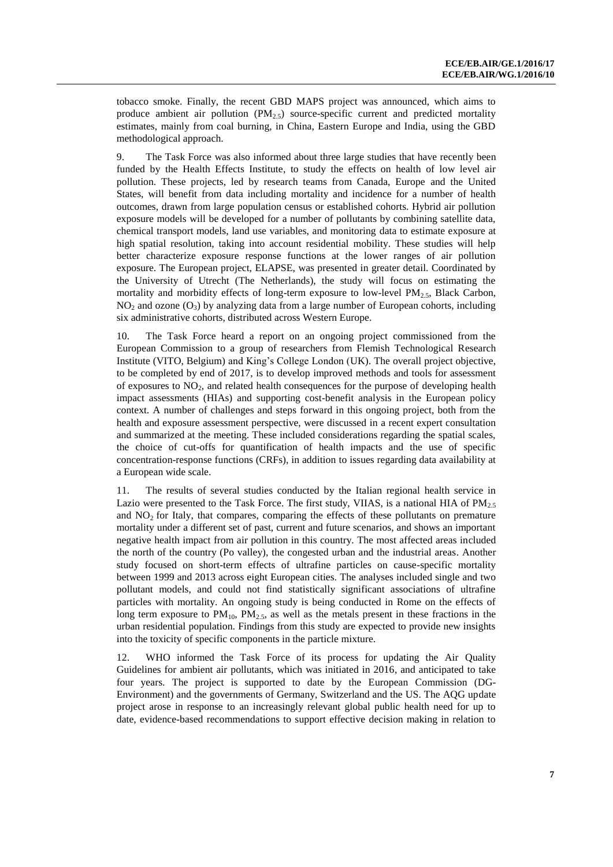tobacco smoke. Finally, the recent GBD MAPS project was announced, which aims to produce ambient air pollution  $(PM_{2,5})$  source-specific current and predicted mortality estimates, mainly from coal burning, in China, Eastern Europe and India, using the GBD methodological approach.

9. The Task Force was also informed about three large studies that have recently been funded by the Health Effects Institute, to study the effects on health of low level air pollution. These projects, led by research teams from Canada, Europe and the United States, will benefit from data including mortality and incidence for a number of health outcomes, drawn from large population census or established cohorts. Hybrid air pollution exposure models will be developed for a number of pollutants by combining satellite data, chemical transport models, land use variables, and monitoring data to estimate exposure at high spatial resolution, taking into account residential mobility. These studies will help better characterize exposure response functions at the lower ranges of air pollution exposure. The European project, ELAPSE, was presented in greater detail. Coordinated by the University of Utrecht (The Netherlands), the study will focus on estimating the mortality and morbidity effects of long-term exposure to low-level  $PM_{2.5}$ , Black Carbon,  $NO<sub>2</sub>$  and ozone  $(O<sub>3</sub>)$  by analyzing data from a large number of European cohorts, including six administrative cohorts, distributed across Western Europe.

10. The Task Force heard a report on an ongoing project commissioned from the European Commission to a group of researchers from Flemish Technological Research Institute (VITO, Belgium) and King's College London (UK). The overall project objective, to be completed by end of 2017, is to develop improved methods and tools for assessment of exposures to  $NO<sub>2</sub>$ , and related health consequences for the purpose of developing health impact assessments (HIAs) and supporting cost-benefit analysis in the European policy context. A number of challenges and steps forward in this ongoing project, both from the health and exposure assessment perspective, were discussed in a recent expert consultation and summarized at the meeting. These included considerations regarding the spatial scales, the choice of cut-offs for quantification of health impacts and the use of specific concentration-response functions (CRFs), in addition to issues regarding data availability at a European wide scale.

11. The results of several studies conducted by the Italian regional health service in Lazio were presented to the Task Force. The first study, VIIAS, is a national HIA of  $PM<sub>2.5</sub>$ and  $NO<sub>2</sub>$  for Italy, that compares, comparing the effects of these pollutants on premature mortality under a different set of past, current and future scenarios, and shows an important negative health impact from air pollution in this country. The most affected areas included the north of the country (Po valley), the congested urban and the industrial areas. Another study focused on short-term effects of ultrafine particles on cause-specific mortality between 1999 and 2013 across eight European cities. The analyses included single and two pollutant models, and could not find statistically significant associations of ultrafine particles with mortality. An ongoing study is being conducted in Rome on the effects of long term exposure to  $PM_{10}$ ,  $PM_{2.5}$ , as well as the metals present in these fractions in the urban residential population. Findings from this study are expected to provide new insights into the toxicity of specific components in the particle mixture.

12. WHO informed the Task Force of its process for updating the Air Quality Guidelines for ambient air pollutants, which was initiated in 2016, and anticipated to take four years. The project is supported to date by the European Commission (DG-Environment) and the governments of Germany, Switzerland and the US. The AQG update project arose in response to an increasingly relevant global public health need for up to date, evidence-based recommendations to support effective decision making in relation to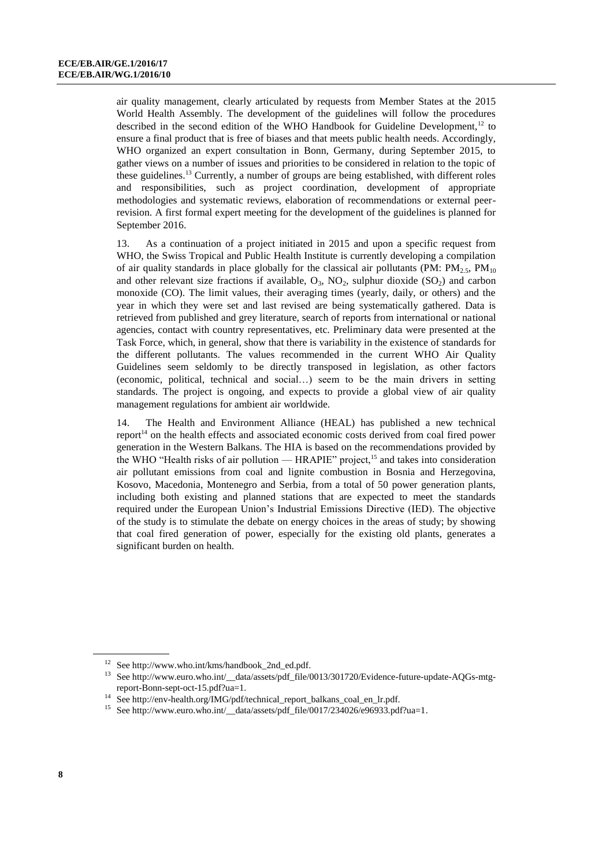air quality management, clearly articulated by requests from Member States at the 2015 World Health Assembly. The development of the guidelines will follow the procedures described in the second edition of the WHO Handbook for Guideline Development,<sup>12</sup> to ensure a final product that is free of biases and that meets public health needs. Accordingly, WHO organized an expert consultation in Bonn, Germany, during September 2015, to gather views on a number of issues and priorities to be considered in relation to the topic of these guidelines. <sup>13</sup> Currently, a number of groups are being established, with different roles and responsibilities, such as project coordination, development of appropriate methodologies and systematic reviews, elaboration of recommendations or external peerrevision. A first formal expert meeting for the development of the guidelines is planned for September 2016.

13. As a continuation of a project initiated in 2015 and upon a specific request from WHO, the Swiss Tropical and Public Health Institute is currently developing a compilation of air quality standards in place globally for the classical air pollutants (PM:  $PM_2$ ,  $PM_{10}$ ) and other relevant size fractions if available,  $O_3$ ,  $NO_2$ , sulphur dioxide  $(SO_2)$  and carbon monoxide (CO). The limit values, their averaging times (yearly, daily, or others) and the year in which they were set and last revised are being systematically gathered. Data is retrieved from published and grey literature, search of reports from international or national agencies, contact with country representatives, etc. Preliminary data were presented at the Task Force, which, in general, show that there is variability in the existence of standards for the different pollutants. The values recommended in the current WHO Air Quality Guidelines seem seldomly to be directly transposed in legislation, as other factors (economic, political, technical and social…) seem to be the main drivers in setting standards. The project is ongoing, and expects to provide a global view of air quality management regulations for ambient air worldwide.

14. The Health and Environment Alliance (HEAL) has published a new technical report<sup>14</sup> on the health effects and associated economic costs derived from coal fired power generation in the Western Balkans. The HIA is based on the recommendations provided by the WHO "Health risks of air pollution — HRAPIE" project,<sup>15</sup> and takes into consideration air pollutant emissions from coal and lignite combustion in Bosnia and Herzegovina, Kosovo, Macedonia, Montenegro and Serbia, from a total of 50 power generation plants, including both existing and planned stations that are expected to meet the standards required under the European Union's Industrial Emissions Directive (IED). The objective of the study is to stimulate the debate on energy choices in the areas of study; by showing that coal fired generation of power, especially for the existing old plants, generates a significant burden on health.

<sup>12</sup> Se[e http://www.who.int/kms/handbook\\_2nd\\_ed.pdf.](http://www.who.int/kms/handbook_2nd_ed.pdf)

<sup>&</sup>lt;sup>13</sup> See http://www.euro.who.int/\_data/assets/pdf\_file/0013/301720/Evidence-future-update-AQGs-mtg[report-Bonn-sept-oct-15.pdf?ua=1.](http://www.euro.who.int/__data/assets/pdf_file/0013/301720/Evidence-future-update-AQGs-mtg-report-Bonn-sept-oct-15.pdf?ua=1)

<sup>&</sup>lt;sup>14</sup> See http://env-health.org/IMG/pdf/technical\_report\_balkans\_coal\_en\_lr.pdf.

 $^{15}$  See http://www.euro.who.int/\_data/assets/pdf\_file/0017/234026/e96933.pdf?ua=1.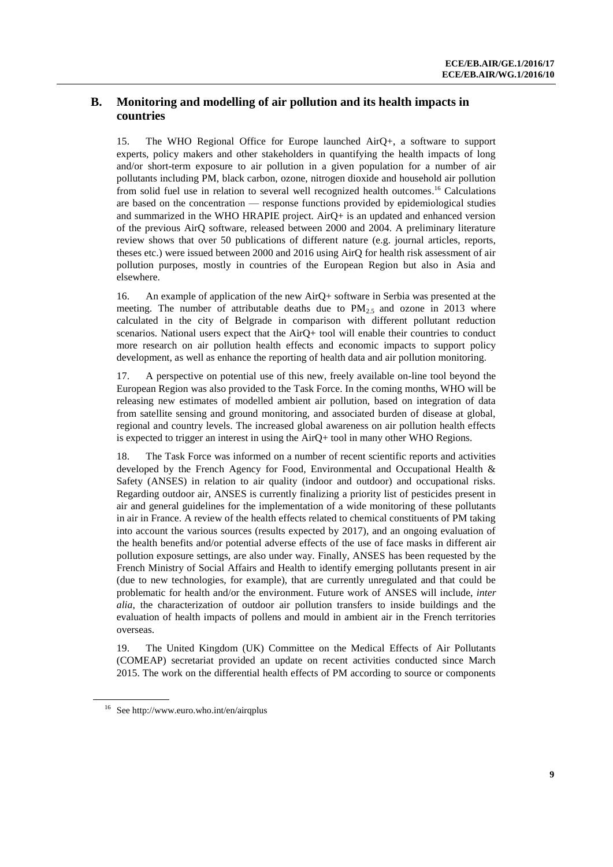#### **B. Monitoring and modelling of air pollution and its health impacts in countries**

15. The WHO Regional Office for Europe launched AirQ+, a software to support experts, policy makers and other stakeholders in quantifying the health impacts of long and/or short-term exposure to air pollution in a given population for a number of air pollutants including PM, black carbon, ozone, nitrogen dioxide and household air pollution from solid fuel use in relation to several well recognized health outcomes.<sup>16</sup> Calculations are based on the concentration — response functions provided by epidemiological studies and summarized in the WHO HRAPIE project. AirQ+ is an updated and enhanced version of the previous AirQ software, released between 2000 and 2004. A preliminary literature review shows that over 50 publications of different nature (e.g. journal articles, reports, theses etc.) were issued between 2000 and 2016 using AirQ for health risk assessment of air pollution purposes, mostly in countries of the European Region but also in Asia and elsewhere.

16. An example of application of the new AirQ+ software in Serbia was presented at the meeting. The number of attributable deaths due to  $PM_{2,5}$  and ozone in 2013 where calculated in the city of Belgrade in comparison with different pollutant reduction scenarios. National users expect that the AirQ+ tool will enable their countries to conduct more research on air pollution health effects and economic impacts to support policy development, as well as enhance the reporting of health data and air pollution monitoring.

17. A perspective on potential use of this new, freely available on-line tool beyond the European Region was also provided to the Task Force. In the coming months, WHO will be releasing new estimates of modelled ambient air pollution, based on integration of data from satellite sensing and ground monitoring, and associated burden of disease at global, regional and country levels. The increased global awareness on air pollution health effects is expected to trigger an interest in using the AirQ+ tool in many other WHO Regions.

18. The Task Force was informed on a number of recent scientific reports and activities developed by the French Agency for Food, Environmental and Occupational Health & Safety (ANSES) in relation to air quality (indoor and outdoor) and occupational risks. Regarding outdoor air, ANSES is currently finalizing a priority list of pesticides present in air and general guidelines for the implementation of a wide monitoring of these pollutants in air in France. A review of the health effects related to chemical constituents of PM taking into account the various sources (results expected by 2017), and an ongoing evaluation of the health benefits and/or potential adverse effects of the use of face masks in different air pollution exposure settings, are also under way. Finally, ANSES has been requested by the French Ministry of Social Affairs and Health to identify emerging pollutants present in air (due to new technologies, for example), that are currently unregulated and that could be problematic for health and/or the environment. Future work of ANSES will include, *inter alia*, the characterization of outdoor air pollution transfers to inside buildings and the evaluation of health impacts of pollens and mould in ambient air in the French territories overseas.

19. The United Kingdom (UK) Committee on the Medical Effects of Air Pollutants (COMEAP) secretariat provided an update on recent activities conducted since March 2015. The work on the differential health effects of PM according to source or components

<sup>16</sup> See <http://www.euro.who.int/en/airqplus>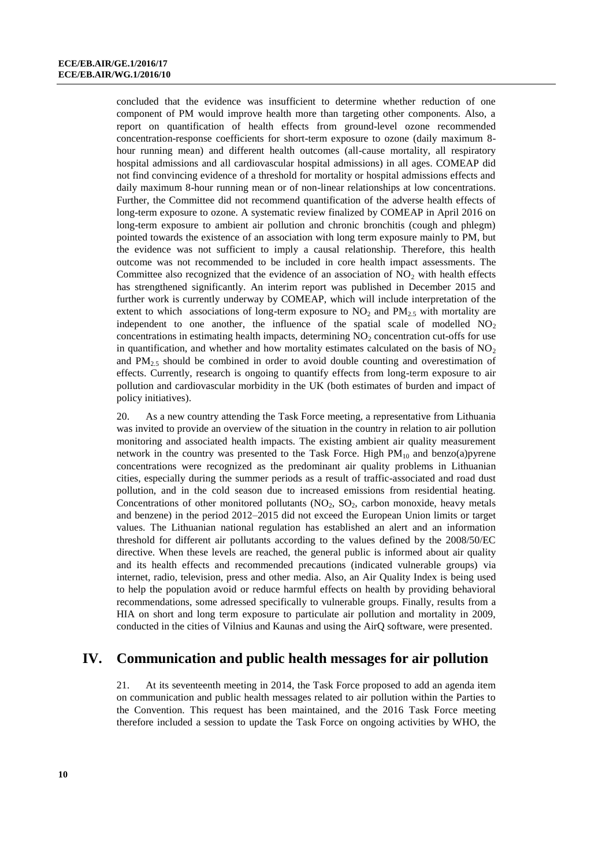concluded that the evidence was insufficient to determine whether reduction of one component of PM would improve health more than targeting other components. Also, a report on quantification of health effects from ground-level ozone recommended concentration-response coefficients for short-term exposure to ozone (daily maximum 8 hour running mean) and different health outcomes (all-cause mortality, all respiratory hospital admissions and all cardiovascular hospital admissions) in all ages. COMEAP did not find convincing evidence of a threshold for mortality or hospital admissions effects and daily maximum 8-hour running mean or of non-linear relationships at low concentrations. Further, the Committee did not recommend quantification of the adverse health effects of long-term exposure to ozone. A systematic review finalized by COMEAP in April 2016 on long-term exposure to ambient air pollution and chronic bronchitis (cough and phlegm) pointed towards the existence of an association with long term exposure mainly to PM, but the evidence was not sufficient to imply a causal relationship. Therefore, this health outcome was not recommended to be included in core health impact assessments. The Committee also recognized that the evidence of an association of  $NO<sub>2</sub>$  with health effects has strengthened significantly. An interim report was published in December 2015 and further work is currently underway by COMEAP, which will include interpretation of the extent to which associations of long-term exposure to  $NO<sub>2</sub>$  and  $PM<sub>25</sub>$  with mortality are independent to one another, the influence of the spatial scale of modelled  $NO<sub>2</sub>$ concentrations in estimating health impacts, determining  $NO<sub>2</sub>$  concentration cut-offs for use in quantification, and whether and how mortality estimates calculated on the basis of  $NO<sub>2</sub>$ and  $PM_{2.5}$  should be combined in order to avoid double counting and overestimation of effects. Currently, research is ongoing to quantify effects from long-term exposure to air pollution and cardiovascular morbidity in the UK (both estimates of burden and impact of policy initiatives).

20. As a new country attending the Task Force meeting, a representative from Lithuania was invited to provide an overview of the situation in the country in relation to air pollution monitoring and associated health impacts. The existing ambient air quality measurement network in the country was presented to the Task Force. High  $PM_{10}$  and benzo(a)pyrene concentrations were recognized as the predominant air quality problems in Lithuanian cities, especially during the summer periods as a result of traffic-associated and road dust pollution, and in the cold season due to increased emissions from residential heating. Concentrations of other monitored pollutants  $(NO_2, SO_2,$  carbon monoxide, heavy metals and benzene) in the period 2012–2015 did not exceed the European Union limits or target values. The Lithuanian national regulation has established an alert and an information threshold for different air pollutants according to the values defined by the 2008/50/EC directive. When these levels are reached, the general public is informed about air quality and its health effects and recommended precautions (indicated vulnerable groups) via internet, radio, television, press and other media. Also, an Air Quality Index is being used to help the population avoid or reduce harmful effects on health by providing behavioral recommendations, some adressed specifically to vulnerable groups. Finally, results from a HIA on short and long term exposure to particulate air pollution and mortality in 2009, conducted in the cities of Vilnius and Kaunas and using the AirQ software, were presented.

## **IV. Communication and public health messages for air pollution**

21. At its seventeenth meeting in 2014, the Task Force proposed to add an agenda item on communication and public health messages related to air pollution within the Parties to the Convention. This request has been maintained, and the 2016 Task Force meeting therefore included a session to update the Task Force on ongoing activities by WHO, the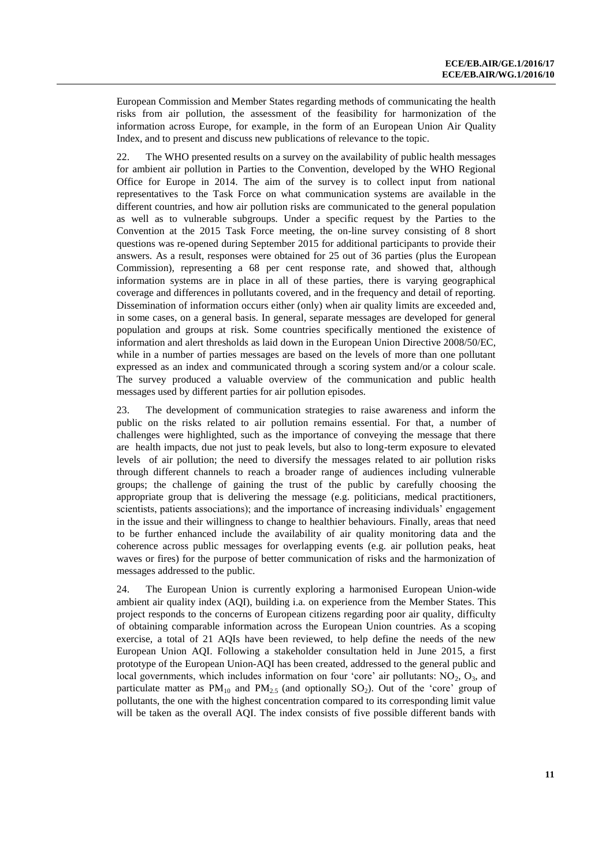European Commission and Member States regarding methods of communicating the health risks from air pollution, the assessment of the feasibility for harmonization of the information across Europe, for example, in the form of an European Union Air Quality Index, and to present and discuss new publications of relevance to the topic.

22. The WHO presented results on a survey on the availability of public health messages for ambient air pollution in Parties to the Convention, developed by the WHO Regional Office for Europe in 2014. The aim of the survey is to collect input from national representatives to the Task Force on what communication systems are available in the different countries, and how air pollution risks are communicated to the general population as well as to vulnerable subgroups. Under a specific request by the Parties to the Convention at the 2015 Task Force meeting, the on-line survey consisting of 8 short questions was re-opened during September 2015 for additional participants to provide their answers. As a result, responses were obtained for 25 out of 36 parties (plus the European Commission), representing a 68 per cent response rate, and showed that, although information systems are in place in all of these parties, there is varying geographical coverage and differences in pollutants covered, and in the frequency and detail of reporting. Dissemination of information occurs either (only) when air quality limits are exceeded and, in some cases, on a general basis. In general, separate messages are developed for general population and groups at risk. Some countries specifically mentioned the existence of information and alert thresholds as laid down in the European Union Directive 2008/50/EC, while in a number of parties messages are based on the levels of more than one pollutant expressed as an index and communicated through a scoring system and/or a colour scale. The survey produced a valuable overview of the communication and public health messages used by different parties for air pollution episodes.

23. The development of communication strategies to raise awareness and inform the public on the risks related to air pollution remains essential. For that, a number of challenges were highlighted, such as the importance of conveying the message that there are health impacts, due not just to peak levels, but also to long-term exposure to elevated levels of air pollution; the need to diversify the messages related to air pollution risks through different channels to reach a broader range of audiences including vulnerable groups; the challenge of gaining the trust of the public by carefully choosing the appropriate group that is delivering the message (e.g. politicians, medical practitioners, scientists, patients associations); and the importance of increasing individuals' engagement in the issue and their willingness to change to healthier behaviours. Finally, areas that need to be further enhanced include the availability of air quality monitoring data and the coherence across public messages for overlapping events (e.g. air pollution peaks, heat waves or fires) for the purpose of better communication of risks and the harmonization of messages addressed to the public.

24. The European Union is currently exploring a harmonised European Union-wide ambient air quality index (AQI), building i.a. on experience from the Member States. This project responds to the concerns of European citizens regarding poor air quality, difficulty of obtaining comparable information across the European Union countries. As a scoping exercise, a total of 21 AQIs have been reviewed, to help define the needs of the new European Union AQI. Following a stakeholder consultation held in June 2015, a first prototype of the European Union-AQI has been created, addressed to the general public and local governments, which includes information on four 'core' air pollutants:  $NO<sub>2</sub>$ ,  $O<sub>3</sub>$ , and particulate matter as  $PM_{10}$  and  $PM_{2.5}$  (and optionally SO<sub>2</sub>). Out of the 'core' group of pollutants, the one with the highest concentration compared to its corresponding limit value will be taken as the overall AQI. The index consists of five possible different bands with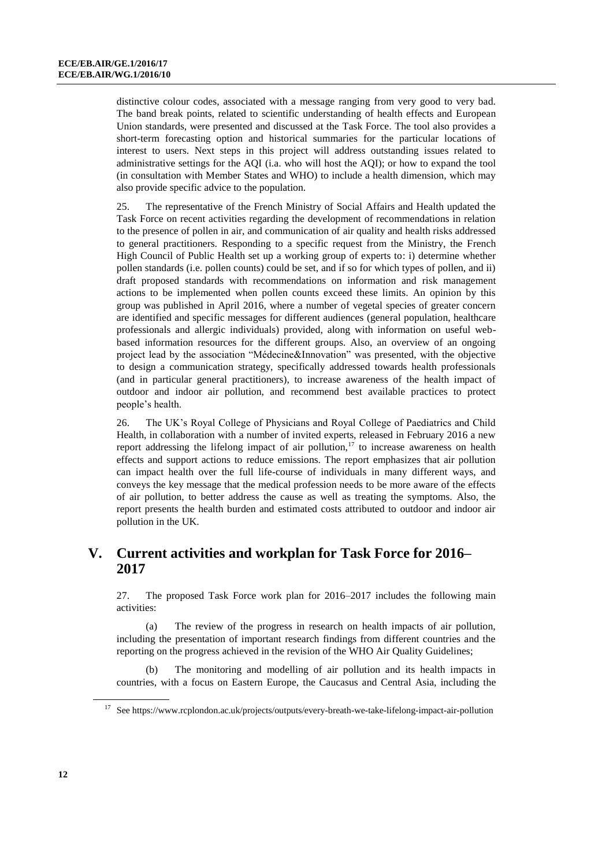distinctive colour codes, associated with a message ranging from very good to very bad. The band break points, related to scientific understanding of health effects and European Union standards, were presented and discussed at the Task Force. The tool also provides a short-term forecasting option and historical summaries for the particular locations of interest to users. Next steps in this project will address outstanding issues related to administrative settings for the AQI (i.a. who will host the AQI); or how to expand the tool (in consultation with Member States and WHO) to include a health dimension, which may also provide specific advice to the population.

25. The representative of the French Ministry of Social Affairs and Health updated the Task Force on recent activities regarding the development of recommendations in relation to the presence of pollen in air, and communication of air quality and health risks addressed to general practitioners. Responding to a specific request from the Ministry, the French High Council of Public Health set up a working group of experts to: i) determine whether pollen standards (i.e. pollen counts) could be set, and if so for which types of pollen, and ii) draft proposed standards with recommendations on information and risk management actions to be implemented when pollen counts exceed these limits. An opinion by this group was published in April 2016, where a number of vegetal species of greater concern are identified and specific messages for different audiences (general population, healthcare professionals and allergic individuals) provided, along with information on useful webbased information resources for the different groups. Also, an overview of an ongoing project lead by the association "Médecine&Innovation" was presented, with the objective to design a communication strategy, specifically addressed towards health professionals (and in particular general practitioners), to increase awareness of the health impact of outdoor and indoor air pollution, and recommend best available practices to protect people's health.

26. The UK's Royal College of Physicians and Royal College of Paediatrics and Child Health, in collaboration with a number of invited experts, released in February 2016 a new report addressing the lifelong impact of air pollution, $17$  to increase awareness on health effects and support actions to reduce emissions. The report emphasizes that air pollution can impact health over the full life-course of individuals in many different ways, and conveys the key message that the medical profession needs to be more aware of the effects of air pollution, to better address the cause as well as treating the symptoms. Also, the report presents the health burden and estimated costs attributed to outdoor and indoor air pollution in the UK.

## **V. Current activities and workplan for Task Force for 2016– 2017**

27. The proposed Task Force work plan for 2016–2017 includes the following main activities:

(a) The review of the progress in research on health impacts of air pollution, including the presentation of important research findings from different countries and the reporting on the progress achieved in the revision of the WHO Air Quality Guidelines;

The monitoring and modelling of air pollution and its health impacts in countries, with a focus on Eastern Europe, the Caucasus and Central Asia, including the

<sup>17</sup> Se[e https://www.rcplondon.ac.uk/projects/outputs/every-breath-we-take-lifelong-impact-air-pollution](https://www.rcplondon.ac.uk/projects/outputs/every-breath-we-take-lifelong-impact-air-pollution)